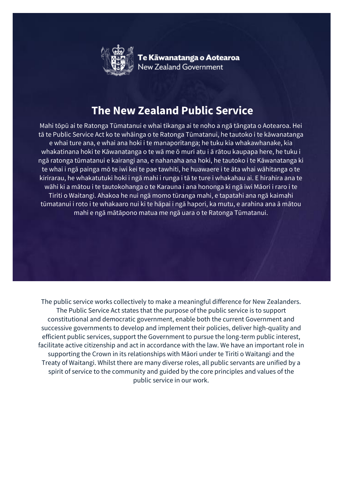

Te Kāwanatanga o Aotearoa<br>New Zealand Government

## **The New Zealand Public Service**

Mahi tōpū ai te Ratonga Tūmatanui e whai tikanga ai te noho a ngā tāngata o Aotearoa. Hei tā te Public Service Act ko te whāinga o te Ratonga Tūmatanui, he tautoko i te kāwanatanga e whai ture ana, e whai ana hoki i te manaporitanga; he tuku kia whakawhanake, kia whakatinana hoki te Kāwanatanga o te wā me ō muri atu i ā rātou kaupapa here, he tuku i ngā ratonga tūmatanui e kairangi ana, e nahanaha ana hoki, he tautoko i te Kāwanatanga ki te whai i ngā painga mō te iwi kei te pae tawhiti, he huawaere i te āta whai wāhitanga o te kirirarau, he whakatutuki hoki i ngā mahi i runga i tā te ture i whakahau ai. E hirahira ana te wāhi ki a mātou i te tautokohanga o te Karauna i ana hononga ki ngā iwi Māori i raro i te Tiriti o Waitangi. Ahakoa he nui ngā momo tūranga mahi, e tapatahi ana ngā kaimahi tūmatanui i roto i te whakaaro nui ki te hāpai i ngā hapori, ka mutu, e arahina ana ā mātou mahi e ngā mātāpono matua me ngā uara o te Ratonga Tūmatanui.

The public service works collectively to make a meaningful difference for New Zealanders. The Public Service Act states that the purpose of the public service is to support constitutional and democratic government, enable both the current Government and successive governments to develop and implement their policies, deliver high-quality and efficient public services, support the Government to pursue the long-term public interest, facilitate active citizenship and act in accordance with the law. We have an important role in supporting the Crown in its relationships with Māori under te Tiriti o Waitangi and the Treaty of Waitangi. Whilst there are many diverse roles, all public servants are unified by a spirit of service to the community and guided by the core principles and values of the public service in our work.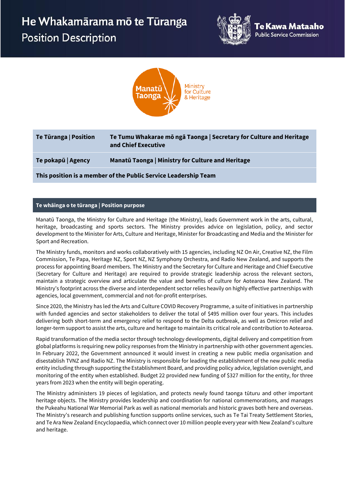## He Whakamārama mō te Tūranga **Position Description**





| Te Tūranga   Position                                           | Te Tumu Whakarae mō ngā Taonga   Secretary for Culture and Heritage<br>and Chief Executive |  |  |  |
|-----------------------------------------------------------------|--------------------------------------------------------------------------------------------|--|--|--|
| Te pokapū   Agency                                              | Manatū Taonga   Ministry for Culture and Heritage                                          |  |  |  |
| This position is a member of the Public Service Leadership Team |                                                                                            |  |  |  |

## **Te whāinga o te tūranga | Position purpose**

Manatū Taonga, the Ministry for Culture and Heritage (the Ministry), leads Government work in the arts, cultural, heritage, broadcasting and sports sectors. The Ministry provides advice on legislation, policy, and sector development to the Minister for Arts, Culture and Heritage, Minister for Broadcasting and Media and the Minister for Sport and Recreation.

The Ministry funds, monitors and works collaboratively with 15 agencies, including NZ On Air, Creative NZ, the Film Commission, Te Papa, Heritage NZ, Sport NZ, NZ Symphony Orchestra, and Radio New Zealand, and supports the process for appointing Board members. The Ministry and the Secretary for Culture and Heritage and Chief Executive (Secretary for Culture and Heritage) are required to provide strategic leadership across the relevant sectors, maintain a strategic overview and articulate the value and benefits of culture for Aotearoa New Zealand. The Ministry's footprint across the diverse and interdependent sector relies heavily on highly effective partnerships with agencies, local government, commercial and not-for-profit enterprises.

Since 2020, the Ministry has led the Arts and Culture COVID Recovery Programme, a suite of initiatives in partnership with funded agencies and sector stakeholders to deliver the total of \$495 million over four years. This includes delivering both short-term and emergency relief to respond to the Delta outbreak, as well as Omicron relief and longer-term support to assist the arts, culture and heritage to maintain its critical role and contribution to Aotearoa.

Rapid transformation of the media sector through technology developments, digital delivery and competition from global platforms is requiring new policy responses from the Ministry in partnership with other government agencies. In February 2022, the Government announced it would invest in creating a new public media organisation and disestablish TVNZ and Radio NZ. The Ministry is responsible for leading the establishment of the new public media entity including through supporting the Establishment Board, and providing policy advice, legislation oversight, and monitoring of the entity when established. Budget 22 provided new funding of \$327 million for the entity, for three years from 2023 when the entity will begin operating.

The Ministry administers 19 pieces of legislation, and protects newly found taonga tūturu and other important heritage objects. The Ministry provides leadership and coordination for national commemorations, and manages the Pukeahu National War Memorial Park as well as national memorials and historic graves both here and overseas. The Ministry's research and publishing function supports online services, such as Te Tai Treaty Settlement Stories, and Te Ara New Zealand Encyclopaedia, which connect over 10 million people every year with New Zealand's culture and heritage.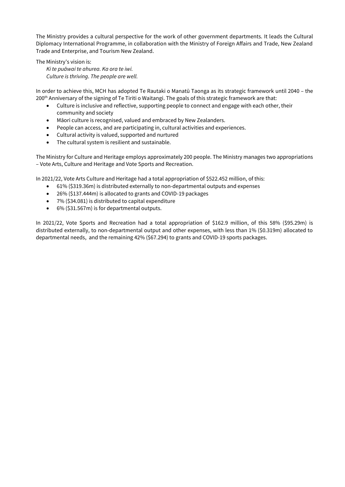The Ministry provides a cultural perspective for the work of other government departments. It leads the Cultural Diplomacy International Programme, in collaboration with the Ministry of Foreign Affairs and Trade, New Zealand Trade and Enterprise, and Tourism New Zealand.

The Ministry's vision is:

*Ki te puāwai te ahurea. Ka ora te iwi. Culture is thriving*. *The people are well.*

In order to achieve this, MCH has adopted Te Rautaki o Manatū Taonga as its strategic framework until 2040 – the 200<sup>th</sup> Anniversary of the signing of Te Tiriti o Waitangi. The goals of this strategic framework are that:

- Culture is inclusive and reflective, supporting people to connect and engage with each other, their community and society
- Māori culture is recognised, valued and embraced by New Zealanders.
- People can access, and are participating in, cultural activities and experiences.
- Cultural activity is valued, supported and nurtured
- The cultural system is resilient and sustainable.

The Ministry for Culture and Heritage employs approximately 200 people. The Ministry manages two appropriations – Vote Arts, Culture and Heritage and Vote Sports and Recreation.

In 2021/22, Vote Arts Culture and Heritage had a total appropriation of \$522.452 million, of this:

- 61% (\$319.36m) is distributed externally to non-departmental outputs and expenses
- 26% (\$137.444m) is allocated to grants and COVID-19 packages
- 7% (\$34.081) is distributed to capital expenditure
- 6% (\$31.567m) is for departmental outputs.

In 2021/22, Vote Sports and Recreation had a total appropriation of \$162.9 million, of this 58% (\$95.29m) is distributed externally, to non-departmental output and other expenses, with less than 1% (\$0.319m) allocated to departmental needs, and the remaining 42% (\$67.294) to grants and COVID-19 sports packages.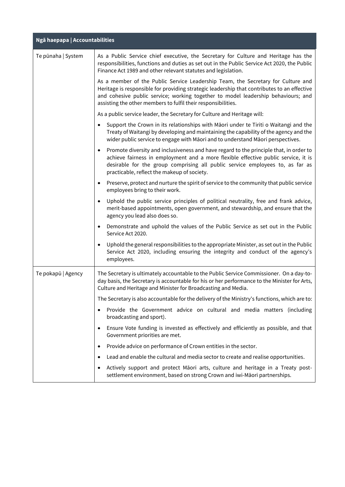| Ngā haepapa   Accountabilities |                                                                                                                                                                                                                                                                                                                                       |  |  |  |
|--------------------------------|---------------------------------------------------------------------------------------------------------------------------------------------------------------------------------------------------------------------------------------------------------------------------------------------------------------------------------------|--|--|--|
| Te pūnaha   System             | As a Public Service chief executive, the Secretary for Culture and Heritage has the<br>responsibilities, functions and duties as set out in the Public Service Act 2020, the Public<br>Finance Act 1989 and other relevant statutes and legislation.                                                                                  |  |  |  |
|                                | As a member of the Public Service Leadership Team, the Secretary for Culture and<br>Heritage is responsible for providing strategic leadership that contributes to an effective<br>and cohesive public service; working together to model leadership behaviours; and<br>assisting the other members to fulfil their responsibilities. |  |  |  |
|                                | As a public service leader, the Secretary for Culture and Heritage will:                                                                                                                                                                                                                                                              |  |  |  |
|                                | Support the Crown in its relationships with Māori under te Tiriti o Waitangi and the<br>$\bullet$<br>Treaty of Waitangi by developing and maintaining the capability of the agency and the<br>wider public service to engage with Māori and to understand Māori perspectives.                                                         |  |  |  |
|                                | Promote diversity and inclusiveness and have regard to the principle that, in order to<br>$\bullet$<br>achieve fairness in employment and a more flexible effective public service, it is<br>desirable for the group comprising all public service employees to, as far as<br>practicable, reflect the makeup of society.             |  |  |  |
|                                | Preserve, protect and nurture the spirit of service to the community that public service<br>$\bullet$<br>employees bring to their work.                                                                                                                                                                                               |  |  |  |
|                                | Uphold the public service principles of political neutrality, free and frank advice,<br>$\bullet$<br>merit-based appointments, open government, and stewardship, and ensure that the<br>agency you lead also does so.                                                                                                                 |  |  |  |
|                                | Demonstrate and uphold the values of the Public Service as set out in the Public<br>$\bullet$<br>Service Act 2020.                                                                                                                                                                                                                    |  |  |  |
|                                | Uphold the general responsibilities to the appropriate Minister, as set out in the Public<br>$\bullet$<br>Service Act 2020, including ensuring the integrity and conduct of the agency's<br>employees.                                                                                                                                |  |  |  |
| Te pokapū   Agency             | The Secretary is ultimately accountable to the Public Service Commissioner. On a day-to-<br>day basis, the Secretary is accountable for his or her performance to the Minister for Arts,<br>Culture and Heritage and Minister for Broadcasting and Media.                                                                             |  |  |  |
|                                | The Secretary is also accountable for the delivery of the Ministry's functions, which are to:                                                                                                                                                                                                                                         |  |  |  |
|                                | Provide the Government advice on cultural and media matters (including<br>$\bullet$<br>broadcasting and sport).                                                                                                                                                                                                                       |  |  |  |
|                                | Ensure Vote funding is invested as effectively and efficiently as possible, and that<br>$\bullet$<br>Government priorities are met.                                                                                                                                                                                                   |  |  |  |
|                                | Provide advice on performance of Crown entities in the sector.<br>$\bullet$                                                                                                                                                                                                                                                           |  |  |  |
|                                | Lead and enable the cultural and media sector to create and realise opportunities.<br>$\bullet$                                                                                                                                                                                                                                       |  |  |  |
|                                | Actively support and protect Māori arts, culture and heritage in a Treaty post-<br>$\bullet$<br>settlement environment, based on strong Crown and iwi-Māori partnerships.                                                                                                                                                             |  |  |  |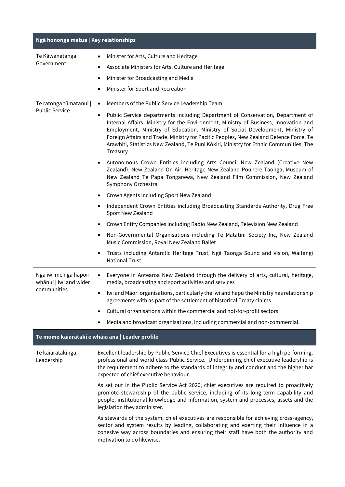| Ngā hononga matua   Key relationships                          |                                                                                                                                                                                                                                                                                                                                                                                                                                                               |  |  |  |
|----------------------------------------------------------------|---------------------------------------------------------------------------------------------------------------------------------------------------------------------------------------------------------------------------------------------------------------------------------------------------------------------------------------------------------------------------------------------------------------------------------------------------------------|--|--|--|
| Te Kāwanatanga                                                 | Minister for Arts, Culture and Heritage                                                                                                                                                                                                                                                                                                                                                                                                                       |  |  |  |
| Government                                                     | Associate Ministers for Arts, Culture and Heritage                                                                                                                                                                                                                                                                                                                                                                                                            |  |  |  |
|                                                                | Minister for Broadcasting and Media                                                                                                                                                                                                                                                                                                                                                                                                                           |  |  |  |
|                                                                | Minister for Sport and Recreation                                                                                                                                                                                                                                                                                                                                                                                                                             |  |  |  |
| Te ratonga tūmatanui  <br><b>Public Service</b>                | Members of the Public Service Leadership Team<br>٠                                                                                                                                                                                                                                                                                                                                                                                                            |  |  |  |
|                                                                | Public Service departments including Department of Conservation, Department of<br>٠<br>Internal Affairs, Ministry for the Environment, Ministry of Business, Innovation and<br>Employment, Ministry of Education, Ministry of Social Development, Ministry of<br>Foreign Affairs and Trade, Ministry for Pacific Peoples, New Zealand Defence Force, Te<br>Arawhiti, Statistics New Zealand, Te Puni Kōkiri, Ministry for Ethnic Communities, The<br>Treasury |  |  |  |
|                                                                | Autonomous Crown Entities including Arts Council New Zealand (Creative New<br>Zealand), New Zealand On Air, Heritage New Zealand Pouhere Taonga, Museum of<br>New Zealand Te Papa Tongarewa, New Zealand Film Commission, New Zealand<br>Symphony Orchestra                                                                                                                                                                                                   |  |  |  |
|                                                                | Crown Agents including Sport New Zealand                                                                                                                                                                                                                                                                                                                                                                                                                      |  |  |  |
|                                                                | Independent Crown Entities including Broadcasting Standards Authority, Drug Free<br>Sport New Zealand                                                                                                                                                                                                                                                                                                                                                         |  |  |  |
|                                                                | Crown Entity Companies including Radio New Zealand, Television New Zealand                                                                                                                                                                                                                                                                                                                                                                                    |  |  |  |
|                                                                | Non-Governmental Organisations including Te Matatini Society Inc, New Zealand<br>٠<br>Music Commission, Royal New Zealand Ballet                                                                                                                                                                                                                                                                                                                              |  |  |  |
|                                                                | Trusts including Antarctic Heritage Trust, Ngā Taonga Sound and Vision, Waitangi<br><b>National Trust</b>                                                                                                                                                                                                                                                                                                                                                     |  |  |  |
| Ngā iwi me ngā hapori<br>whānui   Iwi and wider<br>communities | Everyone in Aotearoa New Zealand through the delivery of arts, cultural, heritage,<br>media, broadcasting and sport activities and services                                                                                                                                                                                                                                                                                                                   |  |  |  |
|                                                                | Iwi and Māori organisations, particularly the iwi and hapū the Ministry has relationship<br>agreements with as part of the settlement of historical Treaty claims                                                                                                                                                                                                                                                                                             |  |  |  |
|                                                                | Cultural organisations within the commercial and not-for-profit sectors<br>٠                                                                                                                                                                                                                                                                                                                                                                                  |  |  |  |
|                                                                | Media and broadcast organisations, including commercial and non-commercial.                                                                                                                                                                                                                                                                                                                                                                                   |  |  |  |
| Te momo kaiarataki e whāia ana   Leader profile                |                                                                                                                                                                                                                                                                                                                                                                                                                                                               |  |  |  |
| Te kaiaratakinga  <br>Leadership                               | Excellent leadership by Public Service Chief Executives is essential for a high performing,<br>professional and world class Public Service. Underpinning chief executive leadership is<br>the requirement to adhere to the standards of integrity and conduct and the higher bar<br>expected of chief executive behaviour.                                                                                                                                    |  |  |  |
|                                                                | As set out in the Public Service Act 2020, chief executives are required to proactively<br>promote stewardship of the public service, including of its long-term capability and<br>people, institutional knowledge and information, system and processes, assets and the<br>legislation they administer.                                                                                                                                                      |  |  |  |
|                                                                | As stewards of the system, chief executives are responsible for achieving cross-agency,<br>sector and system results by leading, collaborating and exerting their influence in a<br>cohesive way across boundaries and ensuring their staff have both the authority and<br>motivation to do likewise.                                                                                                                                                         |  |  |  |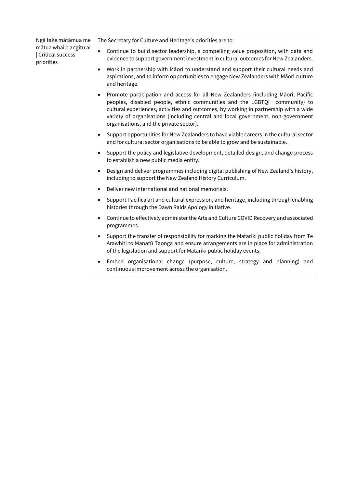Ngā take mātāmua me mātua whai e angitu ai | Critical success priorities

The Secretary for Culture and Heritage's priorities are to:

- Continue to build sector leadership, a compelling value proposition, with data and evidence to support government investment in cultural outcomes for New Zealanders.
- Work in partnership with Māori to understand and support their cultural needs and aspirations, and to inform opportunities to engage New Zealanders with Māori culture and heritage.
- Promote participation and access for all New Zealanders (including Māori, Pacific peoples, disabled people, ethnic communities and the LGBTQI+ community) to cultural experiences, activities and outcomes, by working in partnership with a wide variety of organisations (including central and local government, non-government organisations, and the private sector).
- Support opportunities for New Zealanders to have viable careers in the cultural sector and for cultural sector organisations to be able to grow and be sustainable.
- Support the policy and legislative development, detailed design, and change process to establish a new public media entity.
- Design and deliver programmes including digital publishing of New Zealand's history, including to support the New Zealand History Curriculum.
- Deliver new international and national memorials.
- Support Pacifica art and cultural expression, and heritage, including through enabling histories through the Dawn Raids Apology initiative.
- Continue to effectively administer the Arts and Culture COVID Recovery and associated programmes.
- Support the transfer of responsibility for marking the Matariki public holiday from Te Arawhiti to Manatū Taonga and ensure arrangements are in place for administration of the legislation and support for Matariki public holiday events.
- Embed organisational change (purpose, culture, strategy and planning) and continuous improvement across the organisation.